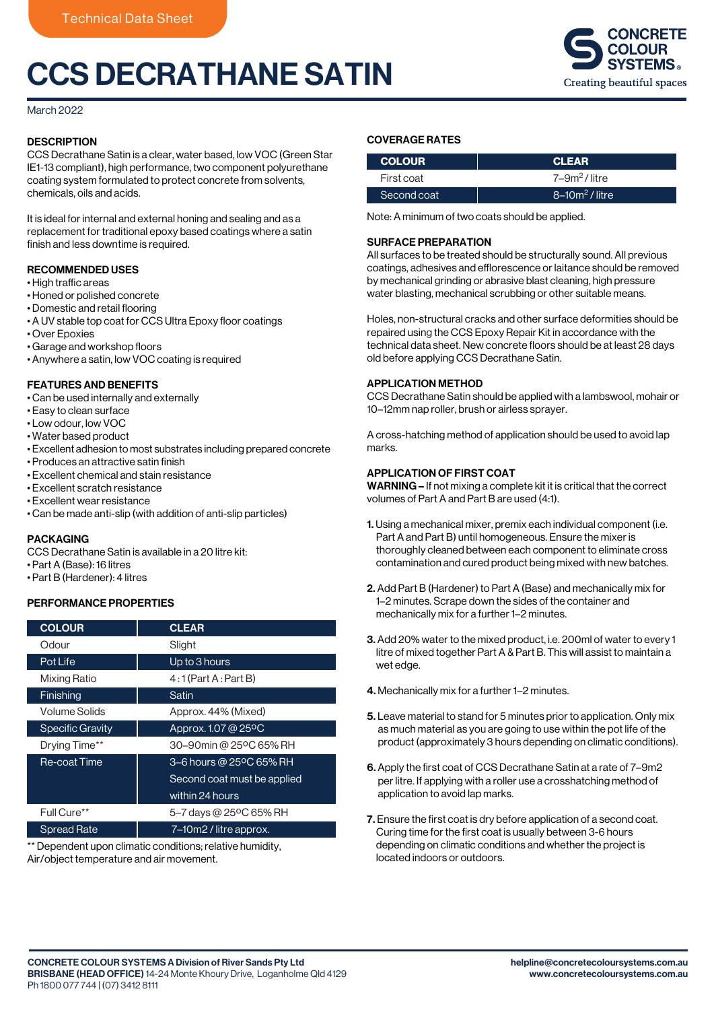# CCS DECRATHANE SATIN



#### March 2022

### **DESCRIPTION**

CCS Decrathane Satin is a clear, water based, low VOC (Green Star IE1-13 compliant), high performance, two component polyurethane coating system formulated to protect concrete from solvents, chemicals, oils and acids.

It is ideal for internal and external honing and sealing and as a replacement for traditional epoxy based coatings where a satin finish and less downtime is required.

## RECOMMENDED USES

- High traffic areas
- Honed or polished concrete
- Domestic and retail flooring
- A UV stable top coat for CCS Ultra Epoxy floor coatings
- Over Epoxies
- Garage and workshop floors
- Anywhere a satin, low VOC coating is required

## FEATURES AND BENEFITS

- Can be used internally and externally
- Easy to clean surface
- Low odour, low VOC
- Water based product
- Excellent adhesion to most substrates including prepared concrete
- Produces an attractive satin finish
- Excellent chemical and stain resistance
- Excellent scratch resistance
- Excellent wear resistance
- Can be made anti-slip (with addition of anti-slip particles)

## PACKAGING

CCS Decrathane Satin is available in a 20 litre kit:

- Part A (Base): 16 litres
- Part B (Hardener): 4 litres

## PERFORMANCE PROPERTIES

| <b>COLOUR</b>           | <b>CLEAR</b>                |
|-------------------------|-----------------------------|
| Odour                   | Slight                      |
| Pot Life                | Up to 3 hours               |
| Mixing Ratio            | $4:1$ (Part A : Part B)     |
| Finishing               | Satin                       |
| Volume Solids           | Approx. 44% (Mixed)         |
| <b>Specific Gravity</b> | Approx. 1.07 @ 25°C         |
| Drying Time**           | 30-90min @ 25°C 65% RH      |
| Re-coat Time            | 3-6 hours @ 25°C 65% RH     |
|                         | Second coat must be applied |
|                         | within 24 hours             |
| Full Cure**             | 5-7 days @ 25°C 65% RH      |
| <b>Spread Rate</b>      | 7–10m2 / litre approx.      |

\*\* Dependent upon climatic conditions; relative humidity,

Air/object temperature and air movement.

#### COVERAGE RATES

| <b>COLOUR</b> | <b>CLEAR</b>      |
|---------------|-------------------|
| First coat    | $7-9m^2$ / litre  |
| Second coat   | $8-10m^2$ / litre |

Note: A minimum of two coats should be applied.

#### SURFACE PREPARATION

All surfaces to be treated should be structurally sound. All previous coatings, adhesives and efflorescence or laitance should be removed by mechanical grinding or abrasive blast cleaning, high pressure water blasting, mechanical scrubbing or other suitable means.

Holes, non-structural cracks and other surface deformities should be repaired using the CCS Epoxy Repair Kit in accordance with the technical data sheet. New concrete floors should be at least 28 days old before applying CCS Decrathane Satin.

#### APPLICATION METHOD

CCS Decrathane Satin should be applied with a lambswool, mohair or 10–12mm nap roller, brush or airless sprayer.

A cross-hatching method of application should be used to avoid lap marks.

## APPLICATION OF FIRST COAT

WARNING – If not mixing a complete kit it is critical that the correct volumes of Part A and Part B are used (4:1).

- 1. Using a mechanical mixer, premix each individual component (i.e. Part A and Part B) until homogeneous. Ensure the mixer is thoroughly cleaned between each component to eliminate cross contamination and cured product being mixed with new batches.
- 2. Add Part B (Hardener) to Part A (Base) and mechanically mix for 1–2 minutes. Scrape down the sides of the container and mechanically mix for a further 1–2 minutes.
- 3. Add 20% water to the mixed product, i.e. 200ml of water to every 1 litre of mixed together Part A & Part B. This will assist to maintain a wet edge.
- 4. Mechanically mix for a further 1–2 minutes.
- 5. Leave material to stand for 5 minutes prior to application. Only mix as much material as you are going to use within the pot life of the product (approximately 3 hours depending on climatic conditions).
- 6. Apply the first coat of CCS Decrathane Satin at a rate of 7–9m2 per litre. If applying with a roller use a crosshatching method of application to avoid lap marks.
- 7. Ensure the first coat is dry before application of a second coat. Curing time for the first coat is usually between 3-6 hours depending on climatic conditions and whether the project is located indoors or outdoors.